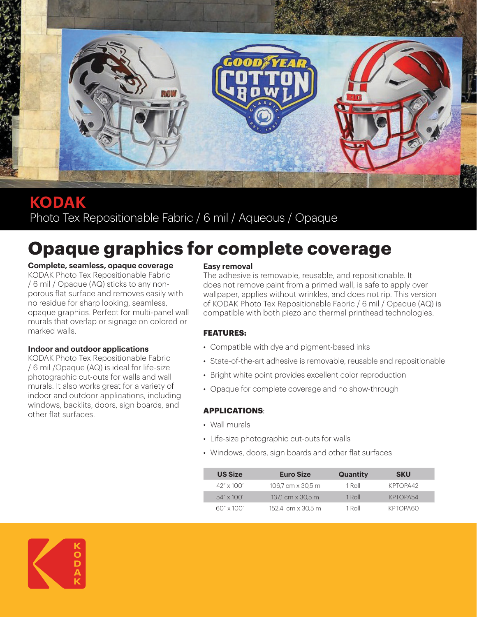

**KODAK** Photo Tex Repositionable Fabric / 6 mil / Aqueous / Opaque

# **Opaque graphics for complete coverage**

# **Complete, seamless, opaque coverage**

KODAK Photo Tex Repositionable Fabric / 6 mil / Opaque (AQ) sticks to any nonporous flat surface and removes easily with no residue for sharp looking, seamless, opaque graphics. Perfect for multi-panel wall murals that overlap or signage on colored or marked walls.

### **Indoor and outdoor applications**

KODAK Photo Tex Repositionable Fabric / 6 mil /Opaque (AQ) is ideal for life-size photographic cut-outs for walls and wall murals. It also works great for a variety of indoor and outdoor applications, including windows, backlits, doors, sign boards, and other flat surfaces.

## **Easy removal**

The adhesive is removable, reusable, and repositionable. It does not remove paint from a primed wall, is safe to apply over wallpaper, applies without wrinkles, and does not rip. This version of KODAK Photo Tex Repositionable Fabric / 6 mil / Opaque (AQ) is compatible with both piezo and thermal printhead technologies.

### **FEATURES:**

- Compatible with dye and pigment-based inks
- State-of-the-art adhesive is removable, reusable and repositionable
- Bright white point provides excellent color reproduction
- Opaque for complete coverage and no show-through

### **APPLICATIONS**:

- Wall murals
- Life-size photographic cut-outs for walls
- Windows, doors, sign boards and other flat surfaces

| <b>US Size</b>     | <b>Euro Size</b>  | <b>Quantity</b> | <b>SKU</b> |
|--------------------|-------------------|-----------------|------------|
| $42'' \times 100'$ | 106.7 cm x 30.5 m | 1 Roll          | KPTOPA42   |
| $54'' \times 100'$ | 137.1 cm x 30.5 m | 1 Roll          | KPTOPA54   |
| $60'' \times 100'$ | 152.4 cm x 30.5 m | 1 Roll          | KPTOPA60   |